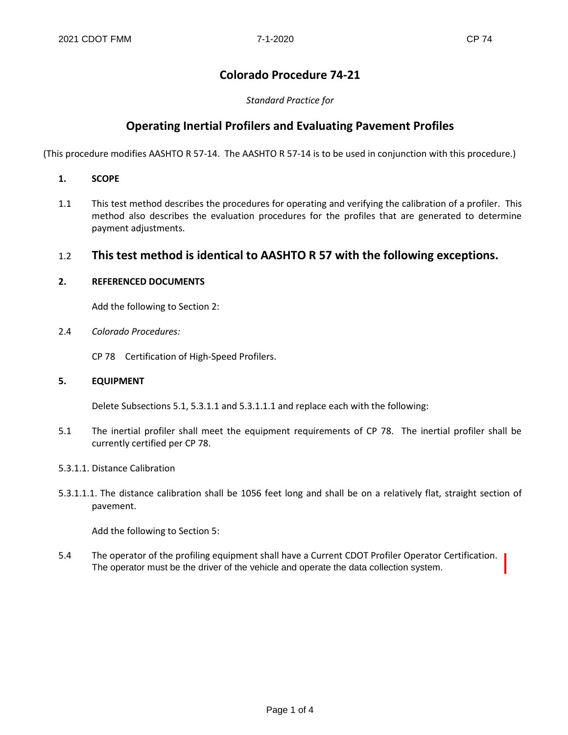# **Colorado Procedure 74-21**

*Standard Practice for*

## **Operating Inertial Profilers and Evaluating Pavement Profiles**

(This procedure modifies AASHTO R 57-14. The AASHTO R 57-14 is to be used in conjunction with this procedure.)

- **1. SCOPE**
- 1.1 This test method describes the procedures for operating and verifying the calibration of a profiler. This method also describes the evaluation procedures for the profiles that are generated to determine payment adjustments.

## 1.2 **This test method is identical to AASHTO R 57 with the following exceptions.**

#### **2. REFERENCED DOCUMENTS**

Add the following to Section 2:

2.4 *Colorado Procedures:*

CP 78 Certification of High-Speed Profilers.

#### **5. EQUIPMENT**

Delete Subsections 5.1, 5.3.1.1 and 5.3.1.1.1 and replace each with the following:

5.1 The inertial profiler shall meet the equipment requirements of CP 78. The inertial profiler shall be currently certified per CP 78.

#### 5.3.1.1. Distance Calibration

5.3.1.1.1. The distance calibration shall be 1056 feet long and shall be on a relatively flat, straight section of pavement.

Add the following to Section 5:

5.4 The operator of the profiling equipment shall have a Current CDOT Profiler Operator Certification. The operator must be the driver of the vehicle and operate the data collection system.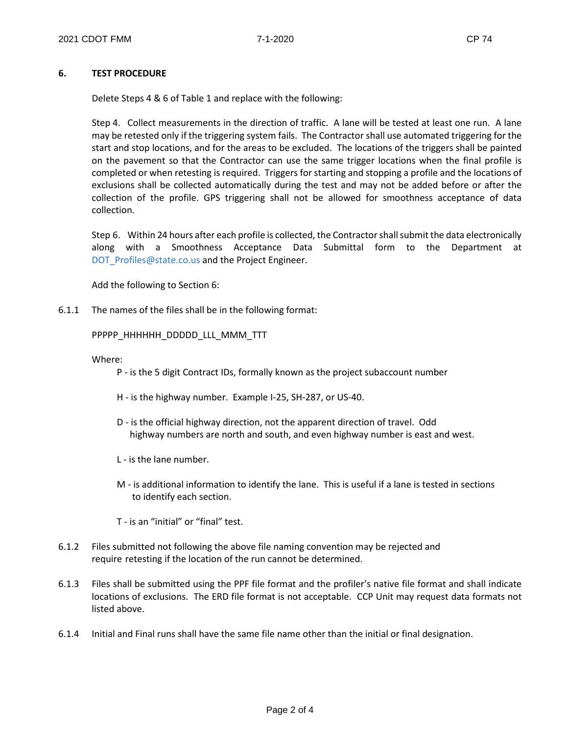#### **6. TEST PROCEDURE**

Delete Steps 4 & 6 of Table 1 and replace with the following:

Step 4. Collect measurements in the direction of traffic. A lane will be tested at least one run. A lane may be retested only if the triggering system fails. The Contractor shall use automated triggering for the start and stop locations, and for the areas to be excluded. The locations of the triggers shall be painted on the pavement so that the Contractor can use the same trigger locations when the final profile is completed or when retesting is required. Triggers for starting and stopping a profile and the locations of exclusions shall be collected automatically during the test and may not be added before or after the collection of the profile. GPS triggering shall not be allowed for smoothness acceptance of data collection.

Step 6. Within 24 hours after each profile is collected, the Contractor shall submit the data electronically along with a Smoothness Acceptance Data Submittal form to the Department at DOT\_Profiles@state.co.us and the Project Engineer.

Add the following to Section 6:

6.1.1 The names of the files shall be in the following format:

#### PPPPP\_HHHHHH\_DDDDD\_LLL\_MMM\_TTT

Where:

- P is the 5 digit Contract IDs, formally known as the project subaccount number
- H is the highway number. Example I-25, SH-287, or US-40.
- D is the official highway direction, not the apparent direction of travel. Odd highway numbers are north and south, and even highway number is east and west.
- L is the lane number.
- M is additional information to identify the lane. This is useful if a lane is tested in sections to identify each section.
- T is an "initial" or "final" test.
- 6.1.2 Files submitted not following the above file naming convention may be rejected and require retesting if the location of the run cannot be determined.
- 6.1.3 Files shall be submitted using the PPF file format and the profiler's native file format and shall indicate locations of exclusions. The ERD file format is not acceptable. CCP Unit may request data formats not listed above.
- 6.1.4 Initial and Final runs shall have the same file name other than the initial or final designation.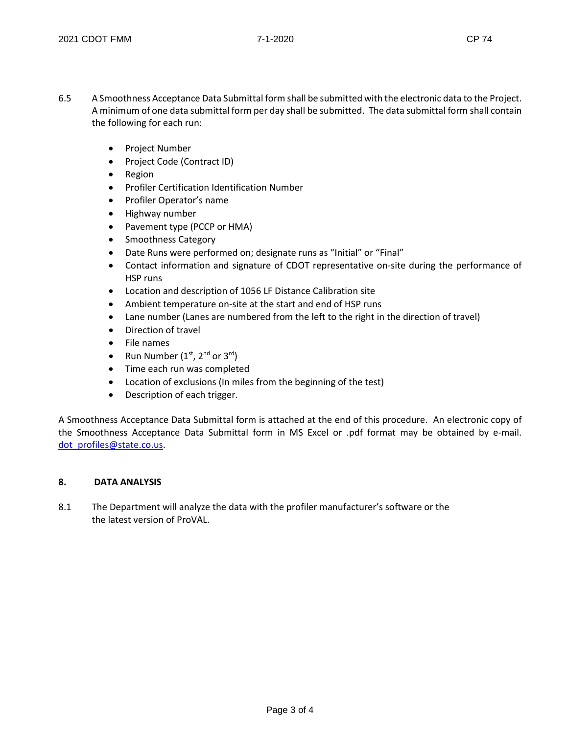- 6.5 A Smoothness Acceptance Data Submittal form shall be submitted with the electronic data to the Project. A minimum of one data submittal form per day shall be submitted. The data submittal form shall contain the following for each run:
	- Project Number
	- Project Code (Contract ID)
	- Region
	- Profiler Certification Identification Number
	- Profiler Operator's name
	- Highway number
	- Pavement type (PCCP or HMA)
	- Smoothness Category
	- Date Runs were performed on; designate runs as "Initial" or "Final"
	- Contact information and signature of CDOT representative on-site during the performance of HSP runs
	- Location and description of 1056 LF Distance Calibration site
	- Ambient temperature on-site at the start and end of HSP runs
	- Lane number (Lanes are numbered from the left to the right in the direction of travel)
	- Direction of travel
	- File names
	- Run Number  $(1<sup>st</sup>, 2<sup>nd</sup>$  or  $3<sup>rd</sup>)$
	- Time each run was completed
	- Location of exclusions (In miles from the beginning of the test)
	- Description of each trigger.

A Smoothness Acceptance Data Submittal form is attached at the end of this procedure. An electronic copy of the Smoothness Acceptance Data Submittal form in MS Excel or .pdf format may be obtained by e-mail. dot\_profiles@state.co.us.

### **8. DATA ANALYSIS**

8.1 The Department will analyze the data with the profiler manufacturer's software or the the latest version of ProVAL.